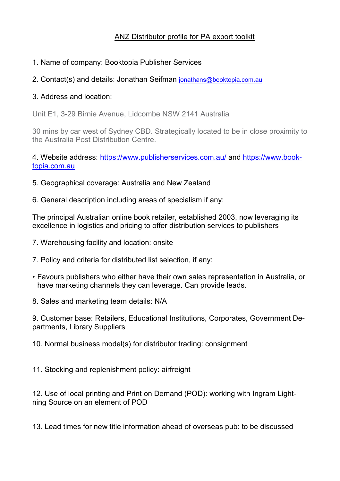## ANZ Distributor profile for PA export toolkit

- 1. Name of company: Booktopia Publisher Services
- 2. Contact(s) and details: Jonathan Seifman [jonathans@booktopia.com.au](mailto:jonathans@booktopia.com.au)

## 3. Address and location:

Unit E1, 3-29 Birnie Avenue, Lidcombe NSW 2141 Australia

30 mins by car west of Sydney CBD. Strategically located to be in close proximity to the Australia Post Distribution Centre.

4. Website address: <https://www.publisherservices.com.au/> and [https://www.book](https://www.booktopia.com.au/)[topia.com.au](https://www.booktopia.com.au/)

- 5. Geographical coverage: Australia and New Zealand
- 6. General description including areas of specialism if any:

The principal Australian online book retailer, established 2003, now leveraging its excellence in logistics and pricing to offer distribution services to publishers

- 7. Warehousing facility and location: onsite
- 7. Policy and criteria for distributed list selection, if any:
- Favours publishers who either have their own sales representation in Australia, or have marketing channels they can leverage. Can provide leads.
- 8. Sales and marketing team details: N/A

9. Customer base: Retailers, Educational Institutions, Corporates, Government Departments, Library Suppliers

10. Normal business model(s) for distributor trading: consignment

11. Stocking and replenishment policy: airfreight

12. Use of local printing and Print on Demand (POD): working with Ingram Lightning Source on an element of POD

13. Lead times for new title information ahead of overseas pub: to be discussed